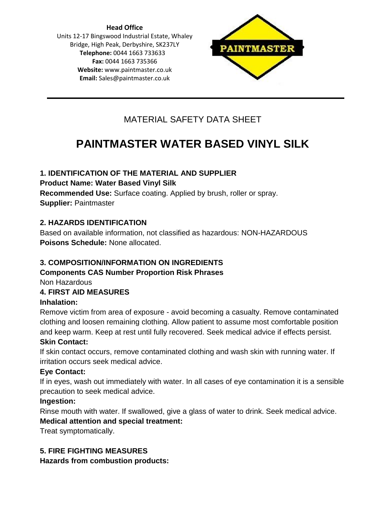**Head Office** Units 12-17 Bingswood Industrial Estate, Whaley Bridge, High Peak, Derbyshire, SK237LY **Telephone:** 0044 1663 733633 **Fax:** 0044 1663 735366 **Website:** [www.paintmaster.co.uk](http://www.paintmaster.co.uk/) **Email:** Sales@paintmaster.co.uk



# MATERIAL SAFETY DATA SHEET

# **PAINTMASTER WATER BASED VINYL SILK**

# **1. IDENTIFICATION OF THE MATERIAL AND SUPPLIER**

**Product Name: Water Based Vinyl Silk**

**Recommended Use:** Surface coating. Applied by brush, roller or spray. **Supplier:** Paintmaster

# **2. HAZARDS IDENTIFICATION**

Based on available information, not classified as hazardous: NON-HAZARDOUS **Poisons Schedule:** None allocated.

# **3. COMPOSITION/INFORMATION ON INGREDIENTS**

# **Components CAS Number Proportion Risk Phrases**

Non Hazardous

## **4. FIRST AID MEASURES**

## **Inhalation:**

Remove victim from area of exposure - avoid becoming a casualty. Remove contaminated clothing and loosen remaining clothing. Allow patient to assume most comfortable position and keep warm. Keep at rest until fully recovered. Seek medical advice if effects persist. **Skin Contact:**

#### If skin contact occurs, remove contaminated clothing and wash skin with running water. If irritation occurs seek medical advice.

## **Eye Contact:**

If in eyes, wash out immediately with water. In all cases of eye contamination it is a sensible precaution to seek medical advice.

## **Ingestion:**

Rinse mouth with water. If swallowed, give a glass of water to drink. Seek medical advice. **Medical attention and special treatment:**

Treat symptomatically.

# **5. FIRE FIGHTING MEASURES**

**Hazards from combustion products:**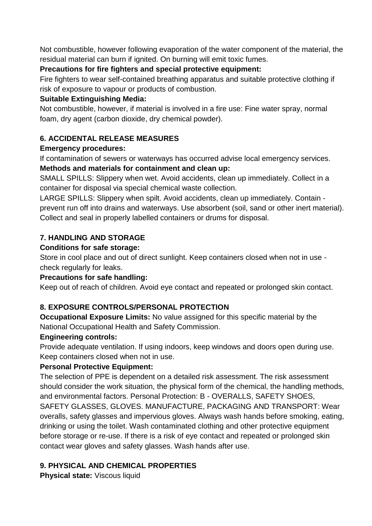Not combustible, however following evaporation of the water component of the material, the residual material can burn if ignited. On burning will emit toxic fumes.

## **Precautions for fire fighters and special protective equipment:**

Fire fighters to wear self-contained breathing apparatus and suitable protective clothing if risk of exposure to vapour or products of combustion.

#### **Suitable Extinguishing Media:**

Not combustible, however, if material is involved in a fire use: Fine water spray, normal foam, dry agent (carbon dioxide, dry chemical powder).

# **6. ACCIDENTAL RELEASE MEASURES**

#### **Emergency procedures:**

If contamination of sewers or waterways has occurred advise local emergency services.

# **Methods and materials for containment and clean up:**

SMALL SPILLS: Slippery when wet. Avoid accidents, clean up immediately. Collect in a container for disposal via special chemical waste collection.

LARGE SPILLS: Slippery when spilt. Avoid accidents, clean up immediately. Contain prevent run off into drains and waterways. Use absorbent (soil, sand or other inert material). Collect and seal in properly labelled containers or drums for disposal.

# **7. HANDLING AND STORAGE**

#### **Conditions for safe storage:**

Store in cool place and out of direct sunlight. Keep containers closed when not in use check regularly for leaks.

## **Precautions for safe handling:**

Keep out of reach of children. Avoid eye contact and repeated or prolonged skin contact.

# **8. EXPOSURE CONTROLS/PERSONAL PROTECTION**

**Occupational Exposure Limits:** No value assigned for this specific material by the National Occupational Health and Safety Commission.

## **Engineering controls:**

Provide adequate ventilation. If using indoors, keep windows and doors open during use. Keep containers closed when not in use.

## **Personal Protective Equipment:**

The selection of PPE is dependent on a detailed risk assessment. The risk assessment should consider the work situation, the physical form of the chemical, the handling methods, and environmental factors. Personal Protection: B - OVERALLS, SAFETY SHOES, SAFETY GLASSES, GLOVES. MANUFACTURE, PACKAGING AND TRANSPORT: Wear overalls, safety glasses and impervious gloves. Always wash hands before smoking, eating, drinking or using the toilet. Wash contaminated clothing and other protective equipment before storage or re-use. If there is a risk of eye contact and repeated or prolonged skin contact wear gloves and safety glasses. Wash hands after use.

# **9. PHYSICAL AND CHEMICAL PROPERTIES**

**Physical state:** Viscous liquid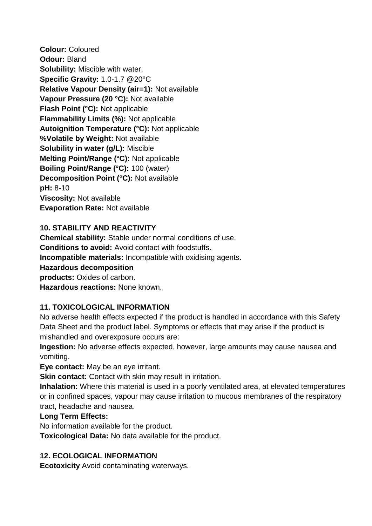**Colour:** Coloured **Odour:** Bland **Solubility:** Miscible with water. **Specific Gravity:** 1.0-1.7 @20°C **Relative Vapour Density (air=1):** Not available **Vapour Pressure (20 °C):** Not available **Flash Point (°C):** Not applicable **Flammability Limits (%):** Not applicable **Autoignition Temperature (°C):** Not applicable **%Volatile by Weight:** Not available **Solubility in water (g/L):** Miscible **Melting Point/Range (°C):** Not applicable **Boiling Point/Range (°C):** 100 (water) **Decomposition Point (°C):** Not available **pH:** 8-10 **Viscosity:** Not available **Evaporation Rate:** Not available

## **10. STABILITY AND REACTIVITY**

**Chemical stability:** Stable under normal conditions of use. **Conditions to avoid:** Avoid contact with foodstuffs. **Incompatible materials:** Incompatible with oxidising agents. **Hazardous decomposition products:** Oxides of carbon. **Hazardous reactions:** None known.

## **11. TOXICOLOGICAL INFORMATION**

No adverse health effects expected if the product is handled in accordance with this Safety Data Sheet and the product label. Symptoms or effects that may arise if the product is mishandled and overexposure occurs are:

**Ingestion:** No adverse effects expected, however, large amounts may cause nausea and vomiting.

**Eye contact:** May be an eye irritant.

**Skin contact:** Contact with skin may result in irritation.

**Inhalation:** Where this material is used in a poorly ventilated area, at elevated temperatures or in confined spaces, vapour may cause irritation to mucous membranes of the respiratory tract, headache and nausea.

#### **Long Term Effects:**

No information available for the product.

**Toxicological Data:** No data available for the product.

#### **12. ECOLOGICAL INFORMATION**

**Ecotoxicity** Avoid contaminating waterways.